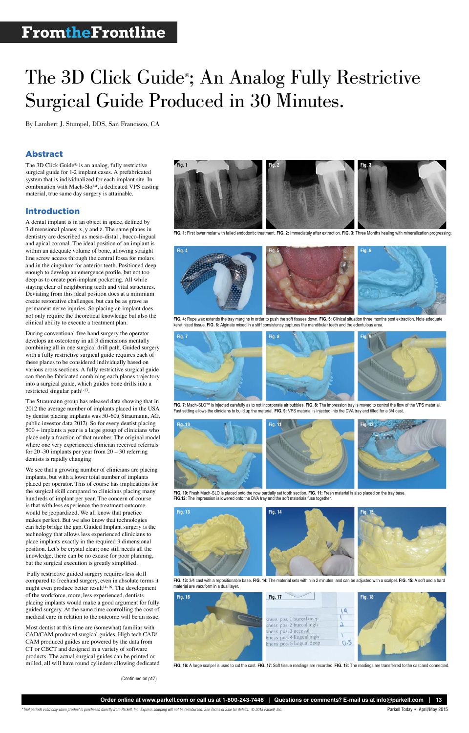*\*Trial periods valid only when product is purchased directly from Parkell, Inc. Express shipping will not be reimbursed. See Terms of Sale for details. © 2015 Parkell, Inc.* Parkell Today • April/May 2015

# The 3D Click Guide<sup>®</sup>; An Analog Fully Restrictive Surgical Guide Produced in 30 Minutes.



By Lambert J. Stumpel, DDS, San Francisco, CA

# Abstract

The 3D Click Guide® is an analog, fully restrictive surgical guide for 1-2 implant cases. A prefabricated system that is individualized for each implant site. In combination with Mach-Slo™, a dedicated VPS casting material, true same day surgery is attainable.

### Introduction

During conventional free hand surgery the operator develops an osteotomy in all 3 dimensions mentally combining all in one surgical drill path. Guided surgery with a fully restrictive surgical guide requires each of these planes to be considered individually based on various cross sections. A fully restrictive surgical guide can then be fabricated combining each planes trajectory into a surgical guide, which guides bone drills into a restricted singular path<sup>1-13</sup>.

A dental implant is in an object in space, defined by 3 dimensional planes; x, y and z. The same planes in dentistry are described as mesio-distal , bucco-lingual and apical coronal. The ideal position of an implant is within an adequate volume of bone, allowing straight line screw access through the central fossa for molars and in the cingulum for anterior teeth. Positioned deep enough to develop an emergence profile, but not too deep as to create peri-implant pocketing. All while staying clear of neighboring teeth and vital structures. Deviating from this ideal position does at a minimum create restorative challenges, but can be as grave as permanent nerve injuries. So placing an implant does not only require the theoretical knowledge but also the clinical ability to execute a treatment plan.

The Straumann group has released data showing that in 2012 the average number of implants placed in the USA by dentist placing implants was 50-60.( Straumann, AG, public investor data 2012). So for every dentist placing 500 + implants a year is a large group of clinicians who place only a fraction of that number. The original model where one very experienced clinician received referrals for 20 -30 implants per year from 20 – 30 referring dentists is rapidly changing

We see that a growing number of clinicians are placing implants, but with a lower total number of implants placed per operator. This of course has implications for the surgical skill compared to clinicians placing many hundreds of implant per year. The concern of course is that with less experience the treatment outcome would be jeopardized. We all know that practice makes perfect. But we also know that technologies can help bridge the gap. Guided Implant surgery is the technology that allows less experienced clinicians to

place implants exactly in the required 3 dimensional position. Let's be crystal clear; one still needs all the knowledge, there can be no excuse for poor planning, but the surgical execution is greatly simplified.

 Fully restrictive guided surgery requires less skill compared to freehand surgery, even in absolute terms it might even produce better result<sup>14-16</sup>. The development of the workforce, more, less experienced, dentists placing implants would make a good argument for fully guided surgery. At the same time controlling the cost of medical care in relation to the outcome will be an issue.

Most dentist at this time are (somewhat) familiar with CAD/CAM produced surgical guides. High tech CAD/ CAM produced guides are powered by the data from CT or CBCT and designed in a variety of software products. The actual surgical guides can be printed or milled, all will have round cylinders allowing dedicated



**FIG. 1:** First lower molar with failed endodontic treatment. **FIG. 2:** Immediately after extraction. **FIG. 3:** Three Months healing with mineralization progressing.



**FIG. 4:** Rope wax extends the tray margins in order to push the soft tissues down. **FIG. 5:** Clinical situation three months post extraction. Note adequate keratinized tissue. **FIG. 6:** Alginate mixed in a stiff consistency captures the mandibular teeth and the edentulous area.



**FIG. 7:** Mach-SLO™ is injected carefully as to not incorporate air bubbles. **FIG. 8:** The impression tray is moved to control the flow of the VPS material. Fast setting allows the clinicians to build up the material. **FIG. 9:** VPS material is injected into the DVA tray and filled for a 3/4 cast.

**FIG. 13:** 3/4 cast with a repositionable base. **FIG. 14:** The material sets within in 2 minutes, and can be adjusted with a scalpel. **FIG. 15:** A soft and a hard material are vacuform in a dual layer.



**FIG. 10:** Fresh Mach-SLO is placed onto the now partially set tooth section. **FIG. 11:** Fresh material is also placed on the tray base. **FIG.12:** The impression is lowered onto the DVA tray and the soft materials fuse together.

**FIG. 16:** A large scalpel is used to cut the cast. **FIG. 17:** Soft tissue readings are recorded. **FIG. 18:** The readings are transferred to the cast and connected.

(Continued on p17)



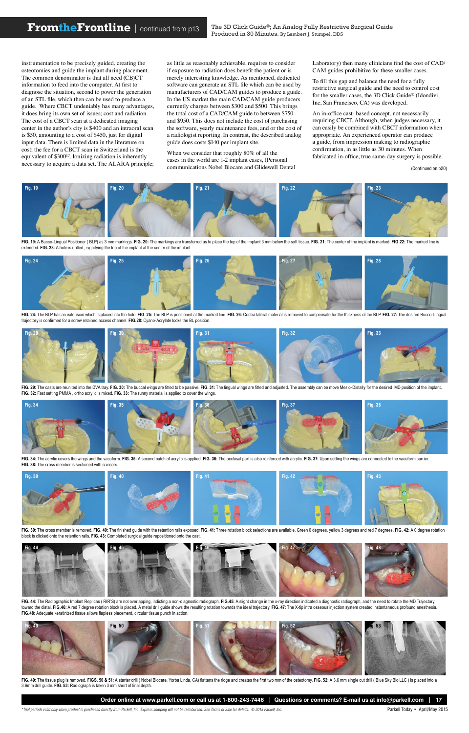*\*Trial periods valid only when product is purchased directly from Parkell, Inc. Express shipping will not be reimbursed. See Terms of Sale for details. © 2015 Parkell, Inc.* Parkell Today • April/May 2015

instrumentation to be precisely guided, creating the osteotomies and guide the implant during placement. The common denominator is that all need (CB)CT information to feed into the computer. At first to diagnose the situation, second to power the generation of an STL file, which then can be used to produce a guide. Where CBCT undeniably has many advantages, it does bring its own set of issues; cost and radiation. The cost of a CBCT scan at a dedicated imaging center in the author's city is \$400 and an intraoral scan is \$50, amounting to a cost of \$450, just for digital input data. There is limited data in the literature on cost; the fee for a CBCT scan in Switzerland is the equivalent of \$30017. Ionizing radiation is inherently necessary to acquire a data set. The ALARA principle; as little as reasonably achievable, requires to consider if exposure to radiation does benefit the patient or is merely interesting knowledge. As mentioned, dedicated software can generate an STL file which can be used by manufacturers of CAD/CAM guides to produce a guide. In the US market the main CAD/CAM guide producers currently charges between \$300 and \$500. This brings the total cost of a CAD/CAM guide to between \$750 and \$950. This does not include the cost of purchasing the software, yearly maintenance fees, and or the cost of a radiologist reporting. In contrast, the described analog guide does costs \$140 per implant site.

When we consider that roughly 80% of all the cases in the world are 1-2 implant cases, (Personal communications Nobel Biocare and Glidewell Dental Laboratory) then many clinicians find the cost of CAD/ CAM guides prohibitive for these smaller cases.

FIG. 39: The cross member is removed. FIG. 40: The finished guide with the retention rails exposed. FIG. 41: Three rotation block selections are available. Green 0 degrees, yellow 3 degrees and red 7 degrees. FIG. 42: A 0 block is clicked onto the retention rails. **FIG. 43:** Completed surgical guide repositioned onto the cast.

To fill this gap and balance the need for a fully restrictive surgical guide and the need to control cost for the smaller cases, the 3D Click Guide® (Idondivi, Inc, San Francisco, CA) was developed.

An in-office cast- based concept, not necessarily requiring CBCT. Although, when judges necessary, it can easily be combined with CBCT information when appropriate. An experienced operator can produce a guide, from impression making to radiographic confirmation, in as little as 30 minutes. When fabricated in-office, true same-day surgery is possible.

FIG. 49: The tissue plug is removed. FIGS. 50 & 51: A starter drill (Nobel Biocare, Yorba Linda, CA) flattens the ridge and creates the first two mm of the osteotomy. FIG. 52: A 3.6 mm single cut drill ( Blue Sky Bio LLC ) 3.6mm drill guide. **FIG. 53:** Radiograph is taken 3 mm short of final depth.

Order online at www.parkell.com or call us at 1-800-243-7446 | Questions or comments? E-mail us at info@parkell.com



FIG. 19: A Bucco-Lingual Positioner (BLP) as 3 mm markings. FIG. 20: The markings are transferred as to place the top of the implant 3 mm below the soft tissue. FIG. 21: The center of the implant is marked. FIG.22: The mar extended. **FIG. 23:** A hole is drilled , signifying the top of the implant at the center of the implant.



FIG. 24: The BLP has an extension which is placed into the hole. FIG. 25: The BLP is positioned at the marked line. FIG. 26: Contra lateral material is removed to compensate for the thickness of the BLP. FIG. 27: The desir trajectory is confirmed for a screw retained access channel. **FIG.28:** Cyano-Acrylate locks the BL position.



FIG. 29: The casts are reunited into the DVA tray. FIG. 30: The buccal wings are fitted to be passive. FIG. 31: The lingual wings are fitted and adjusted. The assembly can be move Mesio-Distally for the desired MD position **FIG. 32:** Fast setting PMMA , ortho acrylic is mixed. **FIG. 33:** The runny material is applied to cover the wings.



FIG. 34: The acrylic covers the wings and the vacuform. FIG. 35: A second batch of acrylic is applied. FIG. 36: The occlusal part is also reinforced with acrylic. FIG. 37: Upon setting the wings are connected to the vacufo **FIG. 38:** The cross member is sectioned with scissors.



FIG. 44: The Radiographic Implant Replicas (RIR'S) are not overlapping, indicting a non-diagnostic radiograph. FIG.45: A slight change in the x-ray direction indicated a diagnostic radiograph, and the need to rotate the MD toward the distal. FIG.46: A red 7 degree rotation block is placed. A metal drill guide shows the resulting rotation towards the ideal trajectory. FIG. 47: The X-tip intra osseous injection system created instantaneous pro **FIG.48:** Adequate keratinized tissue allows flapless placement, circular tissue punch in action.





The 3D Click Guide®; An Analog Fully Restrictive Surgical Guide Produced in 30 Minutes. By Lambert J. Stumpel, DDS

(Continued on p20)